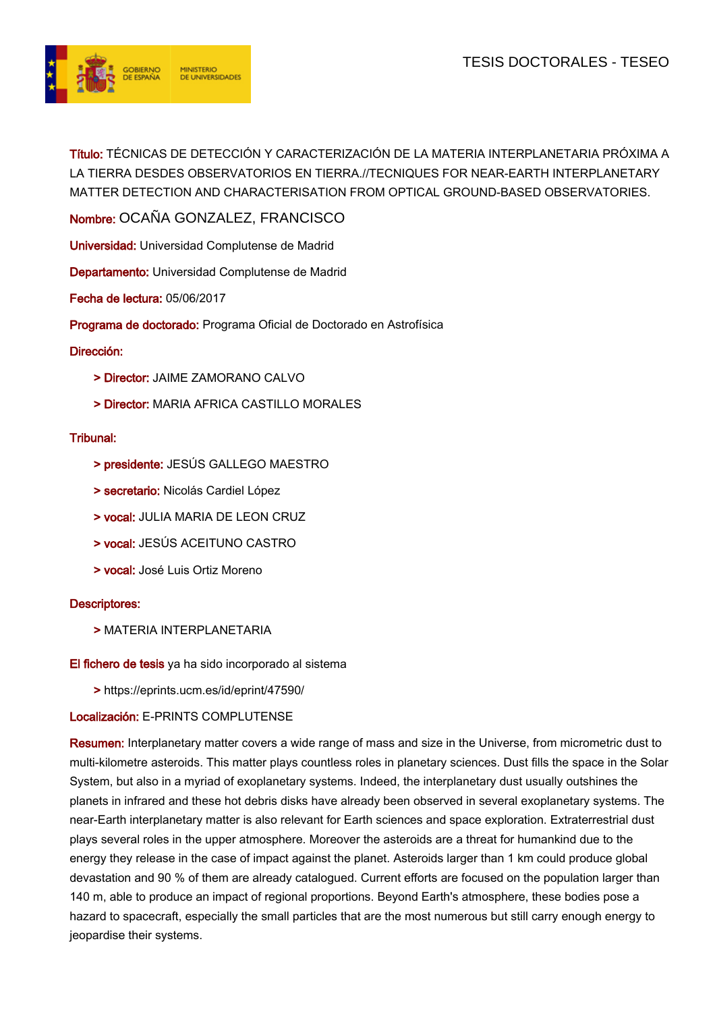

Título: TÉCNICAS DE DETECCIÓN Y CARACTERIZACIÓN DE LA MATERIA INTERPLANETARIA PRÓXIMA A LA TIERRA DESDES OBSERVATORIOS EN TIERRA.//TECNIQUES FOR NEAR-EARTH INTERPLANETARY MATTER DETECTION AND CHARACTERISATION FROM OPTICAL GROUND-BASED OBSERVATORIES.

Nombre: OCAÑA GONZALEZ, FRANCISCO

Universidad: Universidad Complutense de Madrid

Departamento: Universidad Complutense de Madrid

Fecha de lectura: 05/06/2017

Programa de doctorado: Programa Oficial de Doctorado en Astrofísica

# Dirección:

- > Director: JAIME ZAMORANO CALVO
- > Director: MARIA AFRICA CASTILLO MORALES

# Tribunal:

- > presidente: JESÚS GALLEGO MAESTRO
- > secretario: Nicolás Cardiel López
- > vocal: JULIA MARIA DE LEON CRUZ
- > vocal: JESÚS ACEITUNO CASTRO
- > vocal: José Luis Ortiz Moreno

# Descriptores:

> MATERIA INTERPLANETARIA

## El fichero de tesis ya ha sido incorporado al sistema

> https://eprints.ucm.es/id/eprint/47590/

## Localización: E-PRINTS COMPLUTENSE

Resumen: Interplanetary matter covers a wide range of mass and size in the Universe, from micrometric dust to multi-kilometre asteroids. This matter plays countless roles in planetary sciences. Dust fills the space in the Solar System, but also in a myriad of exoplanetary systems. Indeed, the interplanetary dust usually outshines the planets in infrared and these hot debris disks have already been observed in several exoplanetary systems. The near-Earth interplanetary matter is also relevant for Earth sciences and space exploration. Extraterrestrial dust plays several roles in the upper atmosphere. Moreover the asteroids are a threat for humankind due to the energy they release in the case of impact against the planet. Asteroids larger than 1 km could produce global devastation and 90 % of them are already catalogued. Current efforts are focused on the population larger than 140 m, able to produce an impact of regional proportions. Beyond Earth's atmosphere, these bodies pose a hazard to spacecraft, especially the small particles that are the most numerous but still carry enough energy to jeopardise their systems.